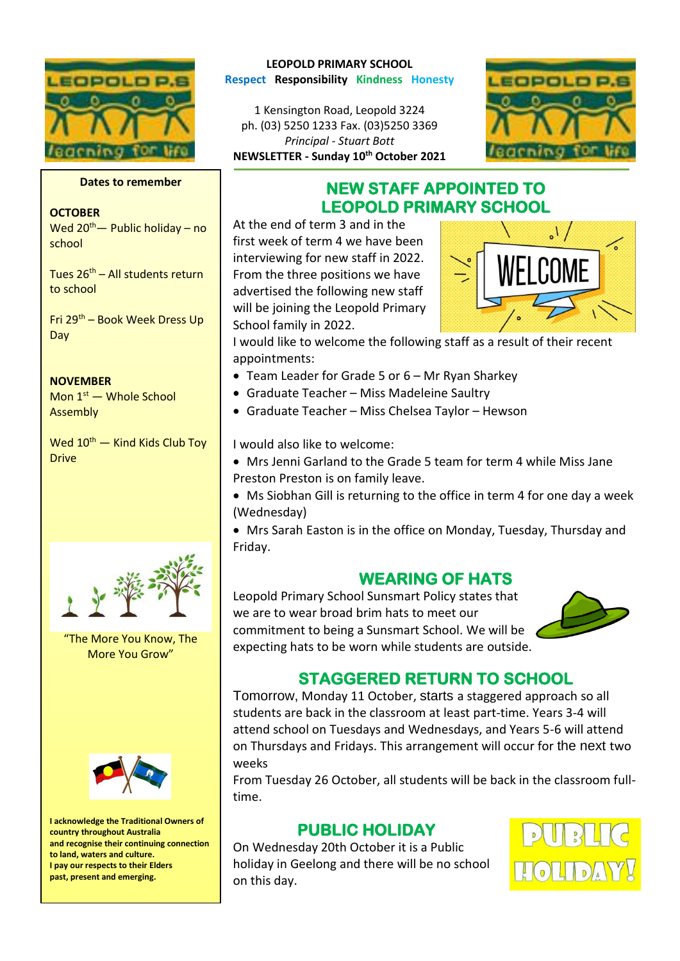

### **Dates to remember**

### **OCTOBER**

Wed  $20^{th}$ — Public holiday – no school

Tues  $26<sup>th</sup>$  – All students return to school

Fri 29th – Book Week Dress Up Day

#### **NOVEMBER**

Mon  $1<sup>st</sup>$  — Whole School **Assembly** 

Wed 10<sup>th</sup> — Kind Kids Club Toy **Drive** 



"The More You Know, The More You Grow"



**I acknowledge the Traditional Owners of country throughout Australia and recognise their continuing connection to land, waters and culture. I pay our respects to their Elders past, present and emerging.**

### **LEOPOLD PRIMARY SCHOOL Respect Responsibility Kindness Honesty**

1 Kensington Road, Leopold 3224 ph. (03) 5250 1233 Fax. (03)5250 3369 *Principal - Stuart Bott*  **NEWSLETTER - Sunday 10th October 2021**



## **NEW STAFF APPOINTED TO LEOPOLD PRIMARY SCHOOL**

At the end of term 3 and in the first week of term 4 we have been interviewing for new staff in 2022. From the three positions we have advertised the following new staff will be joining the Leopold Primary School family in 2022.



I would like to welcome the following staff as a result of their recent appointments:

- Team Leader for Grade 5 or 6 Mr Ryan Sharkey
- Graduate Teacher Miss Madeleine Saultry
- Graduate Teacher Miss Chelsea Taylor Hewson

I would also like to welcome:

- Mrs Jenni Garland to the Grade 5 team for term 4 while Miss Jane
- Preston Preston is on family leave.
- Ms Siobhan Gill is returning to the office in term 4 for one day a week (Wednesday)
- Mrs Sarah Easton is in the office on Monday, Tuesday, Thursday and Friday.

## **WEARING OF HATS**

Leopold Primary School Sunsmart Policy states that we are to wear broad brim hats to meet our commitment to being a Sunsmart School. We will be expecting hats to be worn while students are outside.



## **STAGGERED RETURN TO SCHOOL**

Tomorrow, Monday 11 October, starts a staggered approach so all students are back in the classroom at least part-time. Years 3-4 will attend school on Tuesdays and Wednesdays, and Years 5-6 will attend on Thursdays and Fridays. This arrangement will occur for the next two weeks

From Tuesday 26 October, all students will be back in the classroom fulltime.

## **PUBLIC HOLIDAY**

On Wednesday 20th October it is a Public holiday in Geelong and there will be no school on this day.